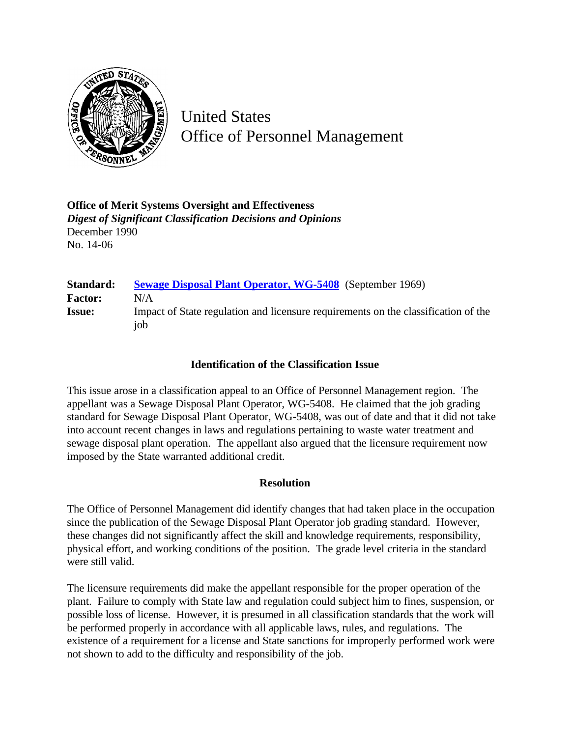

United States Office of Personnel Management

**Office of Merit Systems Oversight and Effectiveness** *Digest of Significant Classification Decisions and Opinions* December 1990 No. 14-06

| Standard:      | <b>Sewage Disposal Plant Operator, WG-5408</b> (September 1969)                           |
|----------------|-------------------------------------------------------------------------------------------|
| <b>Factor:</b> | N/A                                                                                       |
| <b>Issue:</b>  | Impact of State regulation and licensure requirements on the classification of the<br>iob |
|                |                                                                                           |

## **Identification of the Classification Issue**

This issue arose in a classification appeal to an Office of Personnel Management region. The appellant was a Sewage Disposal Plant Operator, WG-5408. He claimed that the job grading standard for Sewage Disposal Plant Operator, WG-5408, was out of date and that it did not take into account recent changes in laws and regulations pertaining to waste water treatment and sewage disposal plant operation. The appellant also argued that the licensure requirement now imposed by the State warranted additional credit.

## **Resolution**

The Office of Personnel Management did identify changes that had taken place in the occupation since the publication of the Sewage Disposal Plant Operator job grading standard. However, these changes did not significantly affect the skill and knowledge requirements, responsibility, physical effort, and working conditions of the position. The grade level criteria in the standard were still valid.

The licensure requirements did make the appellant responsible for the proper operation of the plant. Failure to comply with State law and regulation could subject him to fines, suspension, or possible loss of license. However, it is presumed in all classification standards that the work will be performed properly in accordance with all applicable laws, rules, and regulations. The existence of a requirement for a license and State sanctions for improperly performed work were not shown to add to the difficulty and responsibility of the job.